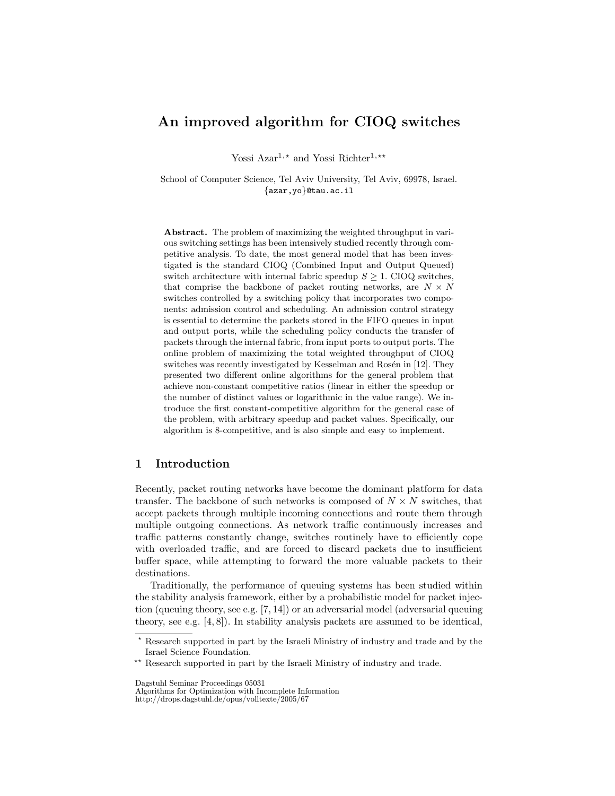# An improved algorithm for CIOQ switches

Yossi Azar<sup>1,\*</sup> and Yossi Richter<sup>1,\*\*</sup>

School of Computer Science, Tel Aviv University, Tel Aviv, 69978, Israel. {azar,yo}@tau.ac.il

Abstract. The problem of maximizing the weighted throughput in various switching settings has been intensively studied recently through competitive analysis. To date, the most general model that has been investigated is the standard CIOQ (Combined Input and Output Queued) switch architecture with internal fabric speedup  $S \geq 1$ . CIOQ switches, that comprise the backbone of packet routing networks, are  $N \times N$ switches controlled by a switching policy that incorporates two components: admission control and scheduling. An admission control strategy is essential to determine the packets stored in the FIFO queues in input and output ports, while the scheduling policy conducts the transfer of packets through the internal fabric, from input ports to output ports. The online problem of maximizing the total weighted throughput of CIOQ switches was recently investigated by Kesselman and Rosén in [12]. They presented two different online algorithms for the general problem that achieve non-constant competitive ratios (linear in either the speedup or the number of distinct values or logarithmic in the value range). We introduce the first constant-competitive algorithm for the general case of the problem, with arbitrary speedup and packet values. Specifically, our algorithm is 8-competitive, and is also simple and easy to implement.

## 1 Introduction

Recently, packet routing networks have become the dominant platform for data transfer. The backbone of such networks is composed of  $N \times N$  switches, that accept packets through multiple incoming connections and route them through multiple outgoing connections. As network traffic continuously increases and traffic patterns constantly change, switches routinely have to efficiently cope with overloaded traffic, and are forced to discard packets due to insufficient buffer space, while attempting to forward the more valuable packets to their destinations.

Traditionally, the performance of queuing systems has been studied within the stability analysis framework, either by a probabilistic model for packet injection (queuing theory, see e.g. [7, 14]) or an adversarial model (adversarial queuing theory, see e.g. [4, 8]). In stability analysis packets are assumed to be identical,

 $^\star$  Research supported in part by the Israeli Ministry of industry and trade and by the Israel Science Foundation.

<sup>\*\*</sup> Research supported in part by the Israeli Ministry of industry and trade.

Dagstuhl Seminar Proceedings 05031

Algorithms for Optimization with Incomplete Information http://drops.dagstuhl.de/opus/volltexte/2005/67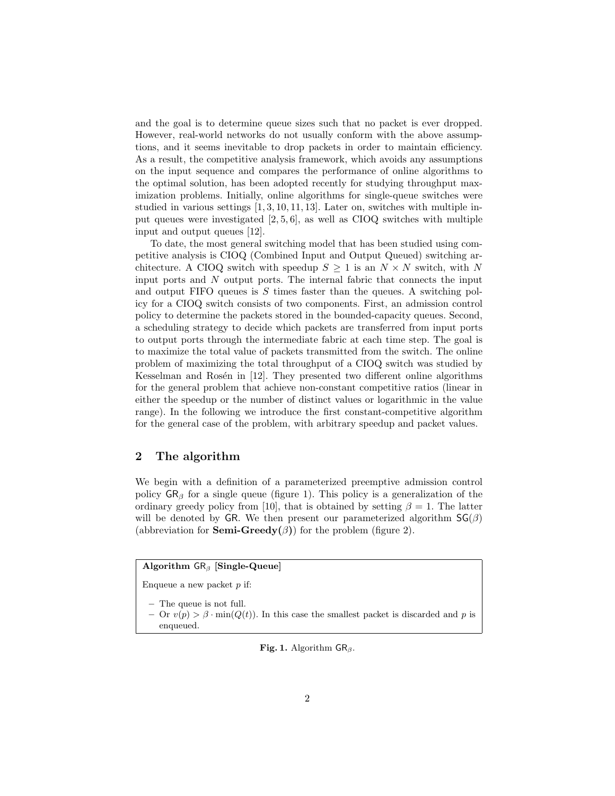and the goal is to determine queue sizes such that no packet is ever dropped. However, real-world networks do not usually conform with the above assumptions, and it seems inevitable to drop packets in order to maintain efficiency. As a result, the competitive analysis framework, which avoids any assumptions on the input sequence and compares the performance of online algorithms to the optimal solution, has been adopted recently for studying throughput maximization problems. Initially, online algorithms for single-queue switches were studied in various settings [1, 3, 10, 11, 13]. Later on, switches with multiple input queues were investigated [2, 5, 6], as well as CIOQ switches with multiple input and output queues [12].

To date, the most general switching model that has been studied using competitive analysis is CIOQ (Combined Input and Output Queued) switching architecture. A CIOQ switch with speedup  $S \geq 1$  is an  $N \times N$  switch, with N input ports and  $N$  output ports. The internal fabric that connects the input and output FIFO queues is  $S$  times faster than the queues. A switching policy for a CIOQ switch consists of two components. First, an admission control policy to determine the packets stored in the bounded-capacity queues. Second, a scheduling strategy to decide which packets are transferred from input ports to output ports through the intermediate fabric at each time step. The goal is to maximize the total value of packets transmitted from the switch. The online problem of maximizing the total throughput of a CIOQ switch was studied by Kesselman and Rosén in [12]. They presented two different online algorithms for the general problem that achieve non-constant competitive ratios (linear in either the speedup or the number of distinct values or logarithmic in the value range). In the following we introduce the first constant-competitive algorithm for the general case of the problem, with arbitrary speedup and packet values.

### 2 The algorithm

We begin with a definition of a parameterized preemptive admission control policy  $GR_\beta$  for a single queue (figure 1). This policy is a generalization of the ordinary greedy policy from [10], that is obtained by setting  $\beta = 1$ . The latter will be denoted by GR. We then present our parameterized algorithm  $SG(\beta)$ (abbreviation for **Semi-Greedy** $(\beta)$ ) for the problem (figure 2).

## Algorithm  $GR_\beta$  [Single-Queue]

Enqueue a new packet  $p$  if:

– The queue is not full.

– Or  $v(p) > \beta \cdot \min(Q(t))$ . In this case the smallest packet is discarded and p is enqueued.

Fig. 1. Algorithm  $\text{GR}_{\beta}$ .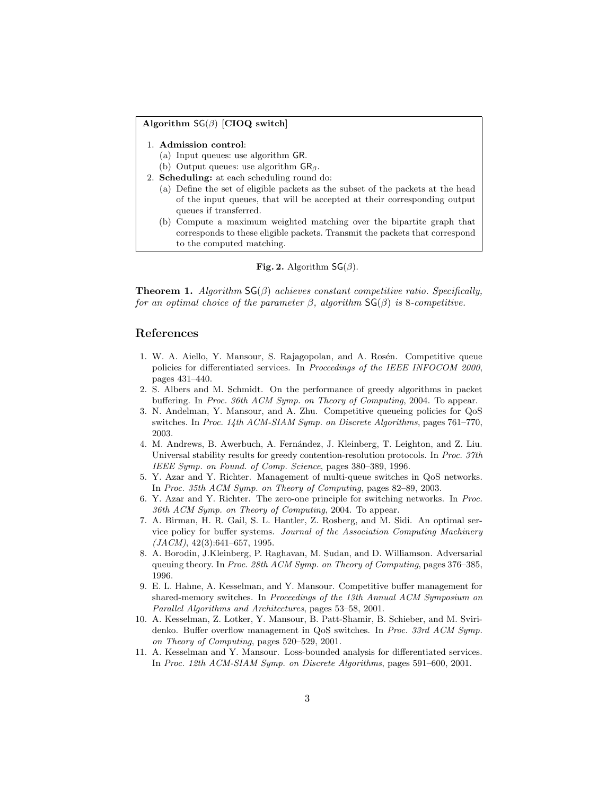#### Algorithm  $SG(\beta)$  [CIOQ switch]

- 1. Admission control:
	- (a) Input queues: use algorithm GR.
- (b) Output queues: use algorithm  $\mathsf{GR}_{\beta}$ .
- 2. Scheduling: at each scheduling round do:
	- (a) Define the set of eligible packets as the subset of the packets at the head of the input queues, that will be accepted at their corresponding output queues if transferred.
	- (b) Compute a maximum weighted matching over the bipartite graph that corresponds to these eligible packets. Transmit the packets that correspond to the computed matching.

#### Fig. 2. Algorithm  $SG(\beta)$ .

**Theorem 1.** Algorithm  $SG(\beta)$  achieves constant competitive ratio. Specifically, for an optimal choice of the parameter  $\beta$ , algorithm  $\mathsf{SG}(\beta)$  is 8-competitive.

#### References

- 1. W. A. Aiello, Y. Mansour, S. Rajagopolan, and A. Rosén. Competitive queue policies for differentiated services. In Proceedings of the IEEE INFOCOM 2000, pages 431–440.
- 2. S. Albers and M. Schmidt. On the performance of greedy algorithms in packet buffering. In Proc. 36th ACM Symp. on Theory of Computing, 2004. To appear.
- 3. N. Andelman, Y. Mansour, and A. Zhu. Competitive queueing policies for QoS switches. In Proc. 14th ACM-SIAM Symp. on Discrete Algorithms, pages 761–770, 2003.
- 4. M. Andrews, B. Awerbuch, A. Fern´andez, J. Kleinberg, T. Leighton, and Z. Liu. Universal stability results for greedy contention-resolution protocols. In Proc. 37th IEEE Symp. on Found. of Comp. Science, pages 380–389, 1996.
- 5. Y. Azar and Y. Richter. Management of multi-queue switches in QoS networks. In Proc. 35th ACM Symp. on Theory of Computing, pages 82–89, 2003.
- 6. Y. Azar and Y. Richter. The zero-one principle for switching networks. In Proc. 36th ACM Symp. on Theory of Computing, 2004. To appear.
- 7. A. Birman, H. R. Gail, S. L. Hantler, Z. Rosberg, and M. Sidi. An optimal service policy for buffer systems. Journal of the Association Computing Machinery  $(JACM), 42(3):641-657, 1995.$
- 8. A. Borodin, J.Kleinberg, P. Raghavan, M. Sudan, and D. Williamson. Adversarial queuing theory. In Proc. 28th ACM Symp. on Theory of Computing, pages 376–385, 1996.
- 9. E. L. Hahne, A. Kesselman, and Y. Mansour. Competitive buffer management for shared-memory switches. In Proceedings of the 13th Annual ACM Symposium on Parallel Algorithms and Architectures, pages 53–58, 2001.
- 10. A. Kesselman, Z. Lotker, Y. Mansour, B. Patt-Shamir, B. Schieber, and M. Sviridenko. Buffer overflow management in QoS switches. In Proc. 33rd ACM Symp. on Theory of Computing, pages 520–529, 2001.
- 11. A. Kesselman and Y. Mansour. Loss-bounded analysis for differentiated services. In Proc. 12th ACM-SIAM Symp. on Discrete Algorithms, pages 591–600, 2001.